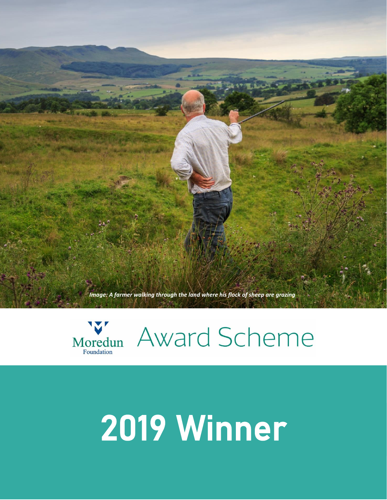



## 2019 Winner